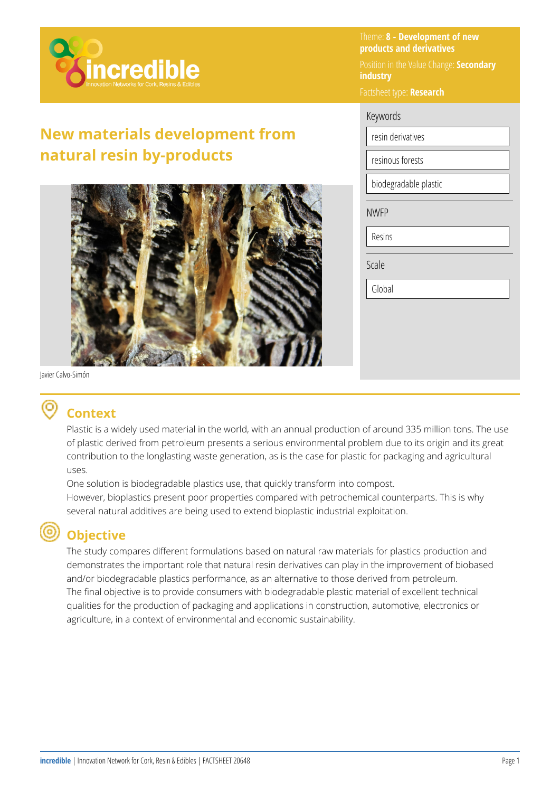

# **New materials development from natural resin by-products**



Theme: **8 - Development of new products and derivatives** 

Position in the Value Change: **Secondary industry** 

Factsheet type: **Research** 

#### Keywords

resin derivatives

resinous forests

biodegradable plastic

NWFP

Resins

Scale

Global

Javier Calvo-Simón

#### **Context**

Plastic is a widely used material in the world, with an annual production of around 335 million tons. The use of plastic derived from petroleum presents a serious environmental problem due to its origin and its great contribution to the longlasting waste generation, as is the case for plastic for packaging and agricultural uses.

One solution is biodegradable plastics use, that quickly transform into compost. However, bioplastics present poor properties compared with petrochemical counterparts. This is why several natural additives are being used to extend bioplastic industrial exploitation.

#### **Objective**

The study compares different formulations based on natural raw materials for plastics production and demonstrates the important role that natural resin derivatives can play in the improvement of biobased and/or biodegradable plastics performance, as an alternative to those derived from petroleum. The final objective is to provide consumers with biodegradable plastic material of excellent technical qualities for the production of packaging and applications in construction, automotive, electronics or agriculture, in a context of environmental and economic sustainability.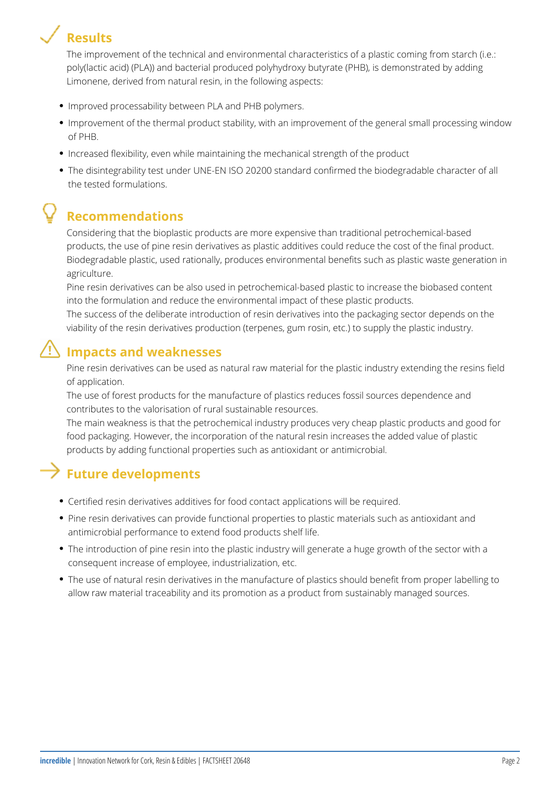# **Results**

The improvement of the technical and environmental characteristics of a plastic coming from starch (i.e.: poly(lactic acid) (PLA)) and bacterial produced polyhydroxy butyrate (PHB), is demonstrated by adding Limonene, derived from natural resin, in the following aspects:

- **Improved processability between PLA and PHB polymers.**
- Improvement of the thermal product stability, with an improvement of the general small processing window of PHB.
- Increased flexibility, even while maintaining the mechanical strength of the product
- The disintegrability test under UNE-EN ISO 20200 standard confirmed the biodegradable character of all the tested formulations.

# **Recommendations**

Considering that the bioplastic products are more expensive than traditional petrochemical-based products, the use of pine resin derivatives as plastic additives could reduce the cost of the final product. Biodegradable plastic, used rationally, produces environmental benefits such as plastic waste generation in agriculture.

Pine resin derivatives can be also used in petrochemical-based plastic to increase the biobased content into the formulation and reduce the environmental impact of these plastic products.

The success of the deliberate introduction of resin derivatives into the packaging sector depends on the viability of the resin derivatives production (terpenes, gum rosin, etc.) to supply the plastic industry.

### $\mathbf{I}^{\prime\prime}$  lmpacts and weaknesses

Pine resin derivatives can be used as natural raw material for the plastic industry extending the resins field of application.

The use of forest products for the manufacture of plastics reduces fossil sources dependence and contributes to the valorisation of rural sustainable resources.

The main weakness is that the petrochemical industry produces very cheap plastic products and good for food packaging. However, the incorporation of the natural resin increases the added value of plastic products by adding functional properties such as antioxidant or antimicrobial.

### $\rightarrow$  Future developments

- Certified resin derivatives additives for food contact applications will be required.
- Pine resin derivatives can provide functional properties to plastic materials such as antioxidant and antimicrobial performance to extend food products shelf life.
- The introduction of pine resin into the plastic industry will generate a huge growth of the sector with a consequent increase of employee, industrialization, etc.
- The use of natural resin derivatives in the manufacture of plastics should benefit from proper labelling to allow raw material traceability and its promotion as a product from sustainably managed sources.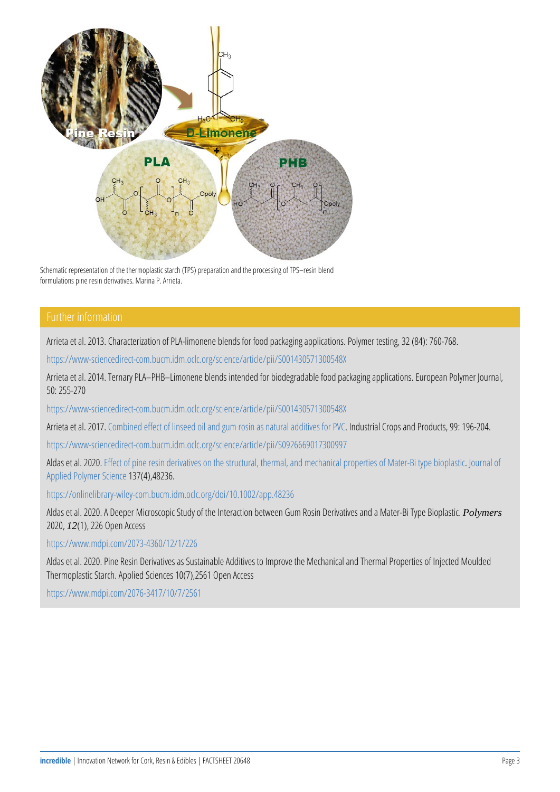Schematic representation of the thermoplastic starch (TPS) preparation and the proce formulations pine resin derivatives. Marina P. Arrieta.

#### Further information

Arrieta et al. 2013. Characterization of PLA-limonene blends for food [https://www-sciencedirect-com.bucm.idm](https://www-sciencedirect-com.bucm.idm.oclc.org/science/article/pii/S001430571300548X).oclc.org/science/article/pii/S Arrieta et al. 2014. Ternary PLA PHB Limonene blends intended for b 50: 255-270

[https://www-sciencedirect-com.bucm.idm](https://www-sciencedirect-com.bucm.idm.oclc.org/science/article/pii/S001430571300548X).oclc.org/science/article/pii/S Arrieta eCtoamhbi2n0e1d7 effect of linseed oil and noduurs troaslinC acsps aatorda Praodobuid [https://www-sciencedirect-com.bucm.idm.](https://www-sciencedirect-com.bucm.idm.oclc.org/science/article/pii/S0926669017300997)oclc.org/science/article/pii/S

Aldas et Eaflec 2020 pine resin derivatives on the structural, Jtchuerrmadlofan [Applied Po](https://www.scopus.com/sourceid/13554?origin=resultslist)ly $\overline{136}$  (43 $\overline{048}$ 236.

[https://onlinelibrary-wiley-com.bu](https://onlinelibrary-wiley-com.bucm.idm.oclc.org/doi/10.1002/app.48236)cm.idm.oclc.org/doi/10.1002/app.48

Aldas et al. 2020. A Deeper Microscopic Study of the Introlly anets on between Gum Bioplastic. A Mater-20220(1), 226 Open Access

[https://www.mdpi.com](https://www.mdpi.com/2073-4360/12/1/226)/2073-4360/12/1/226

Aldas et al. 2020. Pine Resin Derivatives as Sustainable Additives to Thermoplastic Starch. Applied Sciences 10(7),2561 Open Access [https://www.mdpi.com](https://www.mdpi.com/2076-3417/10/7/2561)/2076-3417/10/7/2561